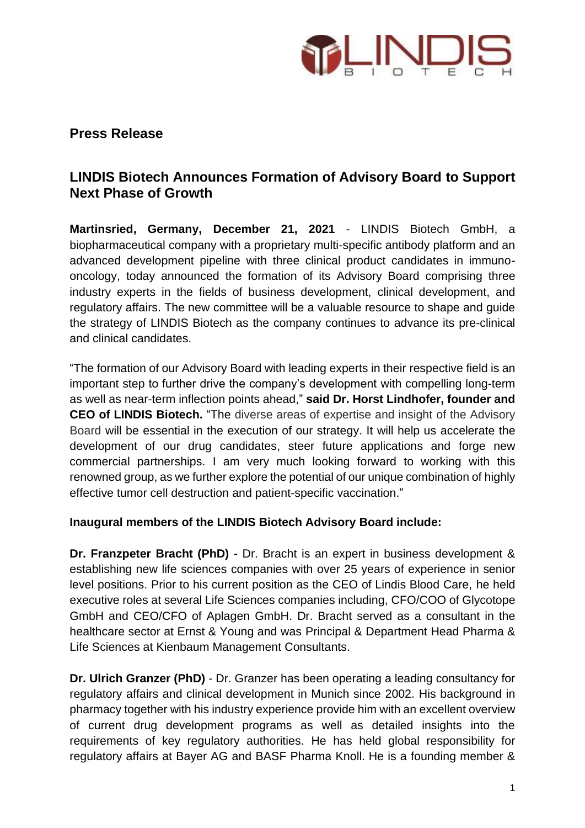

## **Press Release**

# **LINDIS Biotech Announces Formation of Advisory Board to Support Next Phase of Growth**

**Martinsried, Germany, December 21, 2021** - LINDIS Biotech GmbH, a biopharmaceutical company with a proprietary multi-specific antibody platform and an advanced development pipeline with three clinical product candidates in immunooncology, today announced the formation of its Advisory Board comprising three industry experts in the fields of business development, clinical development, and regulatory affairs. The new committee will be a valuable resource to shape and guide the strategy of LINDIS Biotech as the company continues to advance its pre-clinical and clinical candidates.

"The formation of our Advisory Board with leading experts in their respective field is an important step to further drive the company's development with compelling long-term as well as near-term inflection points ahead," **said Dr. Horst Lindhofer, founder and CEO of LINDIS Biotech.** "The diverse areas of expertise and insight of the Advisory Board will be essential in the execution of our strategy. It will help us accelerate the development of our drug candidates, steer future applications and forge new commercial partnerships. I am very much looking forward to working with this renowned group, as we further explore the potential of our unique combination of highly effective tumor cell destruction and patient-specific vaccination."

#### **Inaugural members of the LINDIS Biotech Advisory Board include:**

**Dr. Franzpeter Bracht (PhD)** - Dr. Bracht is an expert in business development & establishing new life sciences companies with over 25 years of experience in senior level positions. Prior to his current position as the CEO of Lindis Blood Care, he held executive roles at several Life Sciences companies including, CFO/COO of Glycotope GmbH and CEO/CFO of Aplagen GmbH. Dr. Bracht served as a consultant in the healthcare sector at Ernst & Young and was Principal & Department Head Pharma & Life Sciences at Kienbaum Management Consultants.

**Dr. Ulrich Granzer (PhD)** - Dr. Granzer has been operating a leading consultancy for regulatory affairs and clinical development in Munich since 2002. His background in pharmacy together with his industry experience provide him with an excellent overview of current drug development programs as well as detailed insights into the requirements of key regulatory authorities. He has held global responsibility for regulatory affairs at Bayer AG and BASF Pharma Knoll. He is a founding member &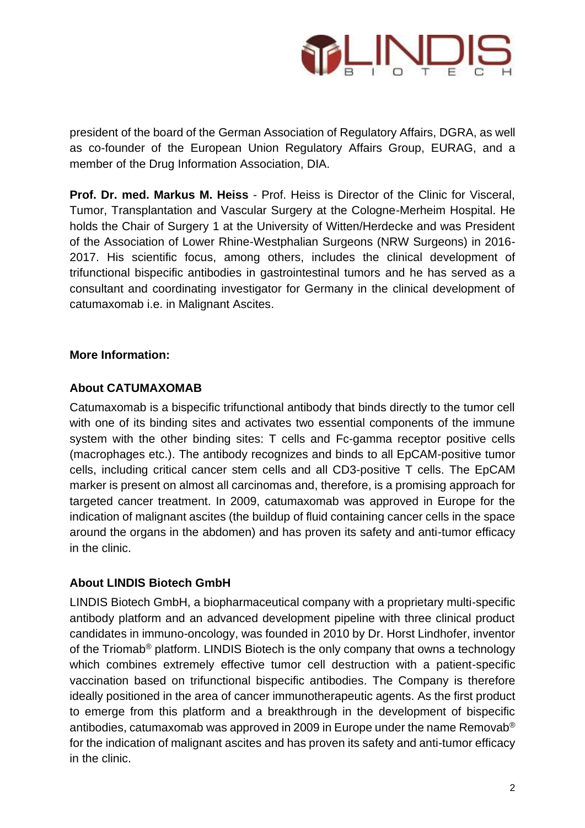

president of the board of the German Association of Regulatory Affairs, DGRA, as well as co-founder of the European Union Regulatory Affairs Group, EURAG, and a member of the Drug Information Association, DIA.

**Prof. Dr. med. Markus M. Heiss** - Prof. Heiss is Director of the Clinic for Visceral, Tumor, Transplantation and Vascular Surgery at the Cologne-Merheim Hospital. He holds the Chair of Surgery 1 at the University of Witten/Herdecke and was President of the Association of Lower Rhine-Westphalian Surgeons (NRW Surgeons) in 2016- 2017. His scientific focus, among others, includes the clinical development of trifunctional bispecific antibodies in gastrointestinal tumors and he has served as a consultant and coordinating investigator for Germany in the clinical development of catumaxomab i.e. in Malignant Ascites.

#### **More Information:**

#### **About CATUMAXOMAB**

Catumaxomab is a bispecific trifunctional antibody that binds directly to the tumor cell with one of its binding sites and activates two essential components of the immune system with the other binding sites: T cells and Fc-gamma receptor positive cells (macrophages etc.). The antibody recognizes and binds to all EpCAM-positive tumor cells, including critical cancer stem cells and all CD3-positive T cells. The EpCAM marker is present on almost all carcinomas and, therefore, is a promising approach for targeted cancer treatment. In 2009, catumaxomab was approved in Europe for the indication of malignant ascites (the buildup of fluid containing cancer cells in the space around the organs in the abdomen) and has proven its safety and anti-tumor efficacy in the clinic.

#### **About LINDIS Biotech GmbH**

LINDIS Biotech GmbH, a biopharmaceutical company with a proprietary multi-specific antibody platform and an advanced development pipeline with three clinical product candidates in immuno-oncology, was founded in 2010 by Dr. Horst Lindhofer, inventor of the Triomab® platform. LINDIS Biotech is the only company that owns a technology which combines extremely effective tumor cell destruction with a patient-specific vaccination based on trifunctional bispecific antibodies. The Company is therefore ideally positioned in the area of cancer immunotherapeutic agents. As the first product to emerge from this platform and a breakthrough in the development of bispecific antibodies, catumaxomab was approved in 2009 in Europe under the name Removab® for the indication of malignant ascites and has proven its safety and anti-tumor efficacy in the clinic.